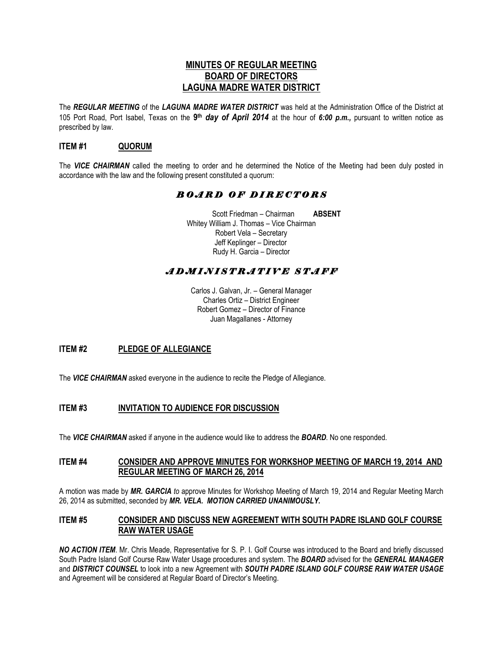# **MINUTES OF REGULAR MEETING BOARD OF DIRECTORS LAGUNA MADRE WATER DISTRICT**

The *REGULAR MEETING* of the *LAGUNA MADRE WATER DISTRICT* was held at the Administration Office of the District at 105 Port Road, Port Isabel, Texas on the **9 th** *day of April 2014* at the hour of *6:00 p.m.,* pursuant to written notice as prescribed by law.

# **ITEM #1 QUORUM**

The *VICE CHAIRMAN* called the meeting to order and he determined the Notice of the Meeting had been duly posted in accordance with the law and the following present constituted a quorum:

# *B O A R D O F D I R E C T O R S*

 Scott Friedman – Chairman **ABSENT** Whitey William J. Thomas – Vice Chairman Robert Vela – Secretary Jeff Keplinger – Director Rudy H. Garcia – Director

# *A D M I N I S T R A T I V E S T A F F*

Carlos J. Galvan, Jr. – General Manager Charles Ortiz – District Engineer Robert Gomez – Director of Finance Juan Magallanes - Attorney

# **ITEM #2 PLEDGE OF ALLEGIANCE**

The **VICE CHAIRMAN** asked everyone in the audience to recite the Pledge of Allegiance.

# **ITEM #3 INVITATION TO AUDIENCE FOR DISCUSSION**

The *VICE CHAIRMAN* asked if anyone in the audience would like to address the *BOARD*. No one responded.

# **ITEM #4 CONSIDER AND APPROVE MINUTES FOR WORKSHOP MEETING OF MARCH 19, 2014 AND REGULAR MEETING OF MARCH 26, 2014**

A motion was made by *MR. GARCIA to* approve Minutes for Workshop Meeting of March 19, 2014 and Regular Meeting March 26, 2014 as submitted, seconded by *MR. VELA. MOTION CARRIED UNANIMOUSLY.*

# **ITEM #5 CONSIDER AND DISCUSS NEW AGREEMENT WITH SOUTH PADRE ISLAND GOLF COURSE RAW WATER USAGE**

*NO ACTION ITEM*. Mr. Chris Meade, Representative for S. P. I. Golf Course was introduced to the Board and briefly discussed South Padre Island Golf Course Raw Water Usage procedures and system. The *BOARD* advised for the *GENERAL MANAGER* and *DISTRICT COUNSEL* to look into a new Agreement with *SOUTH PADRE ISLAND GOLF COURSE RAW WATER USAGE*  and Agreement will be considered at Regular Board of Director's Meeting.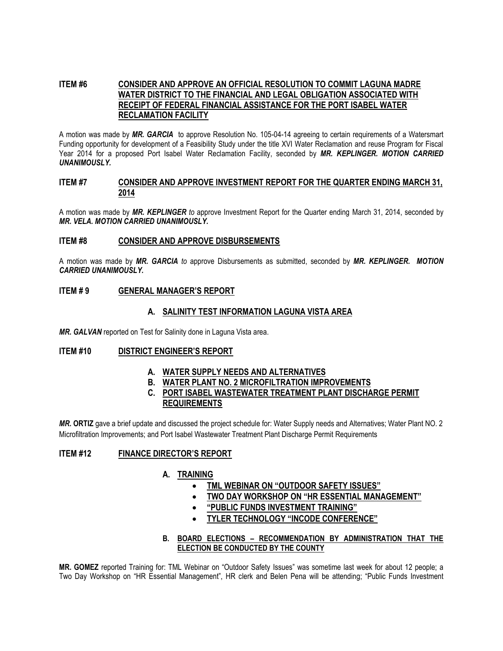# **ITEM #6 CONSIDER AND APPROVE AN OFFICIAL RESOLUTION TO COMMIT LAGUNA MADRE WATER DISTRICT TO THE FINANCIAL AND LEGAL OBLIGATION ASSOCIATED WITH RECEIPT OF FEDERAL FINANCIAL ASSISTANCE FOR THE PORT ISABEL WATER RECLAMATION FACILITY**

A motion was made by *MR. GARCIA* to approve Resolution No. 105-04-14 agreeing to certain requirements of a Watersmart Funding opportunity for development of a Feasibility Study under the title XVI Water Reclamation and reuse Program for Fiscal Year 2014 for a proposed Port Isabel Water Reclamation Facility, seconded by *MR. KEPLINGER. MOTION CARRIED UNANIMOUSLY.* 

## **ITEM #7 CONSIDER AND APPROVE INVESTMENT REPORT FOR THE QUARTER ENDING MARCH 31, 2014**

A motion was made by *MR. KEPLINGER to* approve Investment Report for the Quarter ending March 31, 2014, seconded by *MR. VELA. MOTION CARRIED UNANIMOUSLY.*

## **ITEM #8 CONSIDER AND APPROVE DISBURSEMENTS**

A motion was made by *MR. GARCIA to* approve Disbursements as submitted, seconded by *MR. KEPLINGER. MOTION CARRIED UNANIMOUSLY.*

# **ITEM # 9 GENERAL MANAGER'S REPORT**

# **A. SALINITY TEST INFORMATION LAGUNA VISTA AREA**

*MR. GALVAN* reported on Test for Salinity done in Laguna Vista area.

#### **ITEM #10 DISTRICT ENGINEER'S REPORT**

- **A. WATER SUPPLY NEEDS AND ALTERNATIVES**
- **B. WATER PLANT NO. 2 MICROFILTRATION IMPROVEMENTS**
- **C. PORT ISABEL WASTEWATER TREATMENT PLANT DISCHARGE PERMIT REQUIREMENTS**

*MR.* **ORTIZ** gave a brief update and discussed the project schedule for: Water Supply needs and Alternatives; Water Plant NO. 2 Microfiltration Improvements; and Port Isabel Wastewater Treatment Plant Discharge Permit Requirements

# **ITEM #12 FINANCE DIRECTOR'S REPORT**

# **A. TRAINING**

- **TML WEBINAR ON "OUTDOOR SAFETY ISSUES"**
	- **TWO DAY WORKSHOP ON "HR ESSENTIAL MANAGEMENT"**
	- **"PUBLIC FUNDS INVESTMENT TRAINING"**
	- **TYLER TECHNOLOGY "INCODE CONFERENCE"**
- **B. BOARD ELECTIONS – RECOMMENDATION BY ADMINISTRATION THAT THE ELECTION BE CONDUCTED BY THE COUNTY**

**MR. GOMEZ** reported Training for: TML Webinar on "Outdoor Safety Issues" was sometime last week for about 12 people; a Two Day Workshop on "HR Essential Management", HR clerk and Belen Pena will be attending; "Public Funds Investment